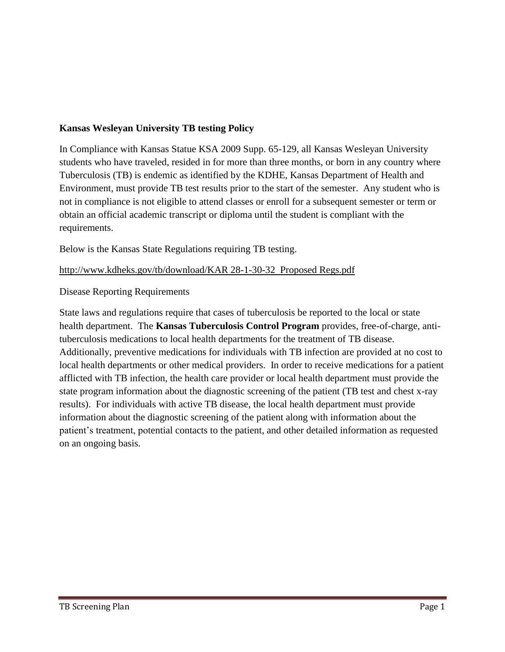### **Kansas Wesleyan University TB testing Policy**

In Compliance with Kansas Statue KSA 2009 Supp. 65-129, all Kansas Wesleyan University students who have traveled, resided in for more than three months, or born in any country where Tuberculosis (TB) is endemic as identified by the KDHE, Kansas Department of Health and Environment, must provide TB test results prior to the start of the semester. Any student who is not in compliance is not eligible to attend classes or enroll for a subsequent semester or term or obtain an official academic transcript or diploma until the student is compliant with the requirements.

Below is the Kansas State Regulations requiring TB testing.

[http://www.kdheks.gov/tb/download/KAR 28-1-30-32](http://www.kdheks.gov/tb/download/KAR%2028-1-30-32) Proposed Regs.pdf

Disease Reporting Requirements

State laws and regulations require that cases of tuberculosis be reported to the local or state health department. The **Kansas Tuberculosis Control Program** provides, free-of-charge, antituberculosis medications to local health departments for the treatment of TB disease. Additionally, preventive medications for individuals with TB infection are provided at no cost to local health departments or other medical providers. In order to receive medications for a patient afflicted with TB infection, the health care provider or local health department must provide the state program information about the diagnostic screening of the patient (TB test and chest x-ray results). For individuals with active TB disease, the local health department must provide information about the diagnostic screening of the patient along with information about the patient's treatment, potential contacts to the patient, and other detailed information as requested on an ongoing basis.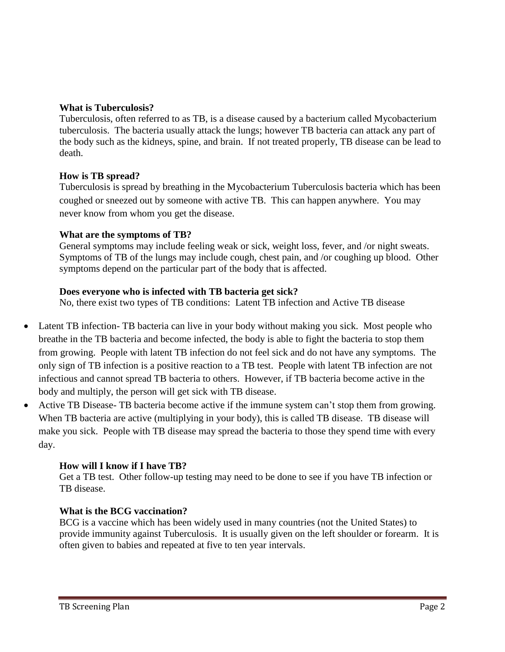#### **What is Tuberculosis?**

Tuberculosis, often referred to as TB, is a disease caused by a bacterium called Mycobacterium tuberculosis. The bacteria usually attack the lungs; however TB bacteria can attack any part of the body such as the kidneys, spine, and brain. If not treated properly, TB disease can be lead to death.

### **How is TB spread?**

Tuberculosis is spread by breathing in the Mycobacterium Tuberculosis bacteria which has been coughed or sneezed out by someone with active TB. This can happen anywhere. You may never know from whom you get the disease.

#### **What are the symptoms of TB?**

General symptoms may include feeling weak or sick, weight loss, fever, and /or night sweats. Symptoms of TB of the lungs may include cough, chest pain, and /or coughing up blood. Other symptoms depend on the particular part of the body that is affected.

### **Does everyone who is infected with TB bacteria get sick?**

No, there exist two types of TB conditions: Latent TB infection and Active TB disease

- Latent TB infection- TB bacteria can live in your body without making you sick. Most people who breathe in the TB bacteria and become infected, the body is able to fight the bacteria to stop them from growing. People with latent TB infection do not feel sick and do not have any symptoms. The only sign of TB infection is a positive reaction to a TB test. People with latent TB infection are not infectious and cannot spread TB bacteria to others. However, if TB bacteria become active in the body and multiply, the person will get sick with TB disease.
- Active TB Disease- TB bacteria become active if the immune system can't stop them from growing. When TB bacteria are active (multiplying in your body), this is called TB disease. TB disease will make you sick. People with TB disease may spread the bacteria to those they spend time with every day.

### **How will I know if I have TB?**

Get a TB test. Other follow-up testing may need to be done to see if you have TB infection or TB disease.

### **What is the BCG vaccination?**

BCG is a vaccine which has been widely used in many countries (not the United States) to provide immunity against Tuberculosis. It is usually given on the left shoulder or forearm. It is often given to babies and repeated at five to ten year intervals.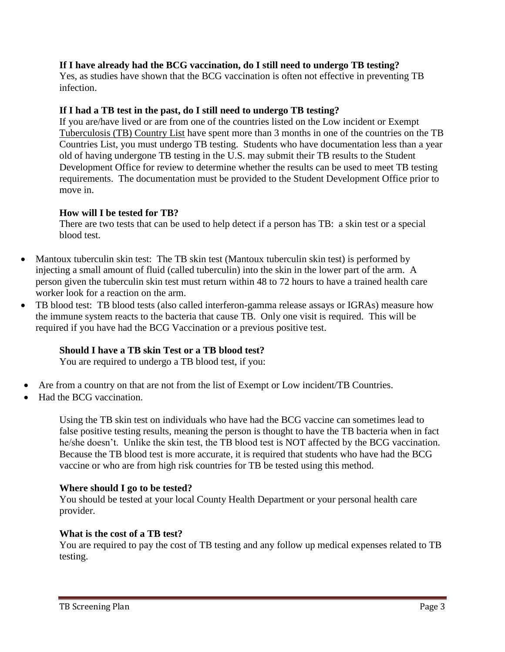### **If I have already had the BCG vaccination, do I still need to undergo TB testing?**

Yes, as studies have shown that the BCG vaccination is often not effective in preventing TB infection.

### **If I had a TB test in the past, do I still need to undergo TB testing?**

If you are/have lived or are from one of the countries listed on the Low incident or Exempt Tuberculosis (TB) Country List have spent more than 3 months in one of the countries on the TB Countries List, you must undergo TB testing. Students who have documentation less than a year old of having undergone TB testing in the U.S. may submit their TB results to the Student Development Office for review to determine whether the results can be used to meet TB testing requirements. The documentation must be provided to the Student Development Office prior to move in.

### **How will I be tested for TB?**

There are two tests that can be used to help detect if a person has TB: a skin test or a special blood test.

- Mantoux tuberculin skin test: The TB skin test (Mantoux tuberculin skin test) is performed by injecting a small amount of fluid (called tuberculin) into the skin in the lower part of the arm. A person given the tuberculin skin test must return within 48 to 72 hours to have a trained health care worker look for a reaction on the arm.
- TB blood test: TB blood tests (also called interferon-gamma release assays or IGRAs) measure how the immune system reacts to the bacteria that cause TB. Only one visit is required. This will be required if you have had the BCG Vaccination or a previous positive test.

## **Should I have a TB skin Test or a TB blood test?**

You are required to undergo a TB blood test, if you:

- Are from a country on that are not from the list of Exempt or Low incident/TB Countries.
- Had the BCG vaccination.

Using the TB skin test on individuals who have had the BCG vaccine can sometimes lead to false positive testing results, meaning the person is thought to have the TB bacteria when in fact he/she doesn't. Unlike the skin test, the TB blood test is NOT affected by the BCG vaccination. Because the TB blood test is more accurate, it is required that students who have had the BCG vaccine or who are from high risk countries for TB be tested using this method.

### **Where should I go to be tested?**

You should be tested at your local County Health Department or your personal health care provider.

### **What is the cost of a TB test?**

You are required to pay the cost of TB testing and any follow up medical expenses related to TB testing.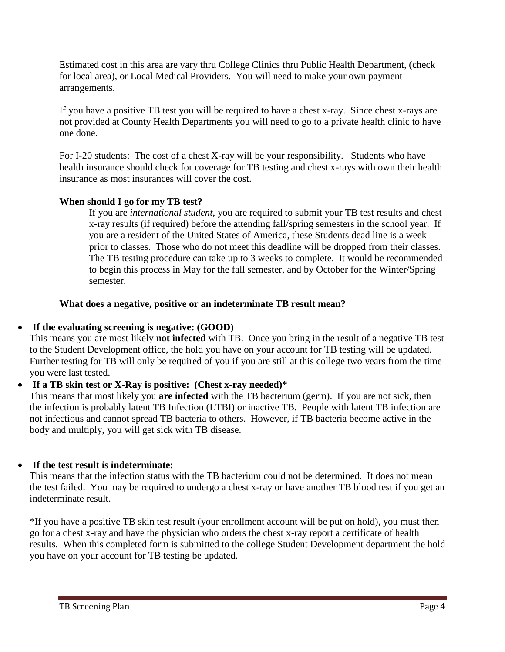Estimated cost in this area are vary thru College Clinics thru Public Health Department, (check for local area), or Local Medical Providers. You will need to make your own payment arrangements.

If you have a positive TB test you will be required to have a chest x-ray. Since chest x-rays are not provided at County Health Departments you will need to go to a private health clinic to have one done.

For I-20 students: The cost of a chest X-ray will be your responsibility. Students who have health insurance should check for coverage for TB testing and chest x-rays with own their health insurance as most insurances will cover the cost.

## **When should I go for my TB test?**

If you are *international student*, you are required to submit your TB test results and chest x-ray results (if required) before the attending fall/spring semesters in the school year. If you are a resident of the United States of America, these Students dead line is a week prior to classes. Those who do not meet this deadline will be dropped from their classes. The TB testing procedure can take up to 3 weeks to complete. It would be recommended to begin this process in May for the fall semester, and by October for the Winter/Spring semester.

## **What does a negative, positive or an indeterminate TB result mean?**

# **If the evaluating screening is negative: (GOOD)**

This means you are most likely **not infected** with TB. Once you bring in the result of a negative TB test to the Student Development office, the hold you have on your account for TB testing will be updated. Further testing for TB will only be required of you if you are still at this college two years from the time you were last tested.

# **If a TB skin test or X-Ray is positive: (Chest x-ray needed)\***

This means that most likely you **are infected** with the TB bacterium (germ). If you are not sick, then the infection is probably latent TB Infection (LTBI) or inactive TB. People with latent TB infection are not infectious and cannot spread TB bacteria to others. However, if TB bacteria become active in the body and multiply, you will get sick with TB disease.

## **If the test result is indeterminate:**

This means that the infection status with the TB bacterium could not be determined. It does not mean the test failed. You may be required to undergo a chest x-ray or have another TB blood test if you get an indeterminate result.

\*If you have a positive TB skin test result (your enrollment account will be put on hold), you must then go for a chest x-ray and have the physician who orders the chest x-ray report a certificate of health results. When this completed form is submitted to the college Student Development department the hold you have on your account for TB testing be updated.